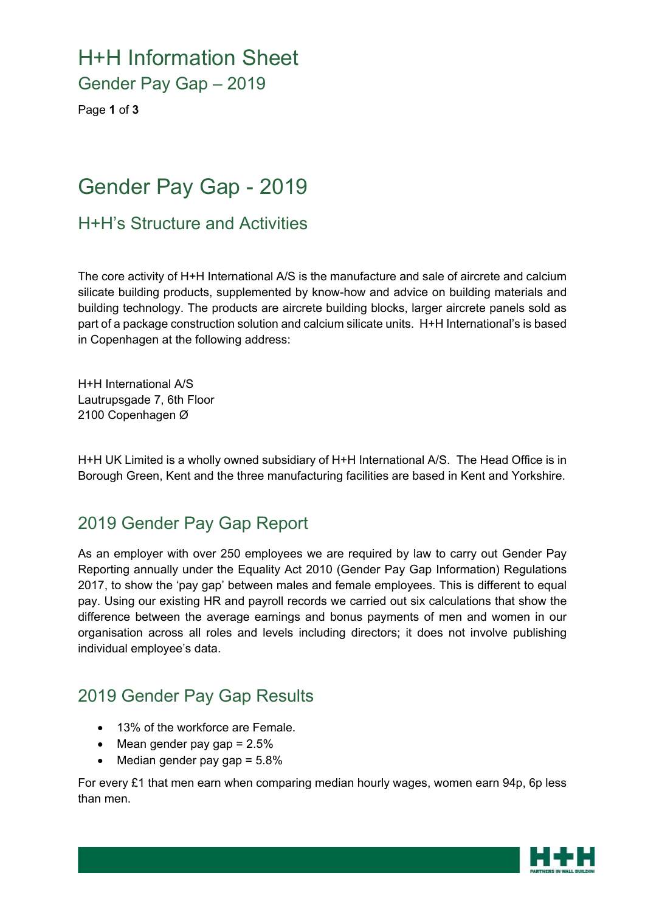# H+H Information Sheet

Gender Pay Gap – 2019

Page **1** of **3**

# Gender Pay Gap - 2019

H+H's Structure and Activities

The core activity of H+H International A/S is the manufacture and sale of aircrete and calcium silicate building products, supplemented by know-how and advice on building materials and building technology. The products are aircrete building blocks, larger aircrete panels sold as part of a package construction solution and calcium silicate units. H+H International's is based in Copenhagen at the following address:

H+H International A/S Lautrupsgade 7, 6th Floor 2100 Copenhagen Ø

H+H UK Limited is a wholly owned subsidiary of H+H International A/S. The Head Office is in Borough Green, Kent and the three manufacturing facilities are based in Kent and Yorkshire.

### 2019 Gender Pay Gap Report

As an employer with over 250 employees we are required by law to carry out Gender Pay Reporting annually under the Equality Act 2010 (Gender Pay Gap Information) Regulations 2017, to show the 'pay gap' between males and female employees. This is different to equal pay. Using our existing HR and payroll records we carried out six calculations that show the difference between the average earnings and bonus payments of men and women in our organisation across all roles and levels including directors; it does not involve publishing individual employee's data.

### 2019 Gender Pay Gap Results

- 13% of the workforce are Female.
- $\bullet$  Mean gender pay gap = 2.5%
- $\bullet$  Median gender pay gap =  $5.8\%$

For every £1 that men earn when comparing median hourly wages, women earn 94p, 6p less than men.

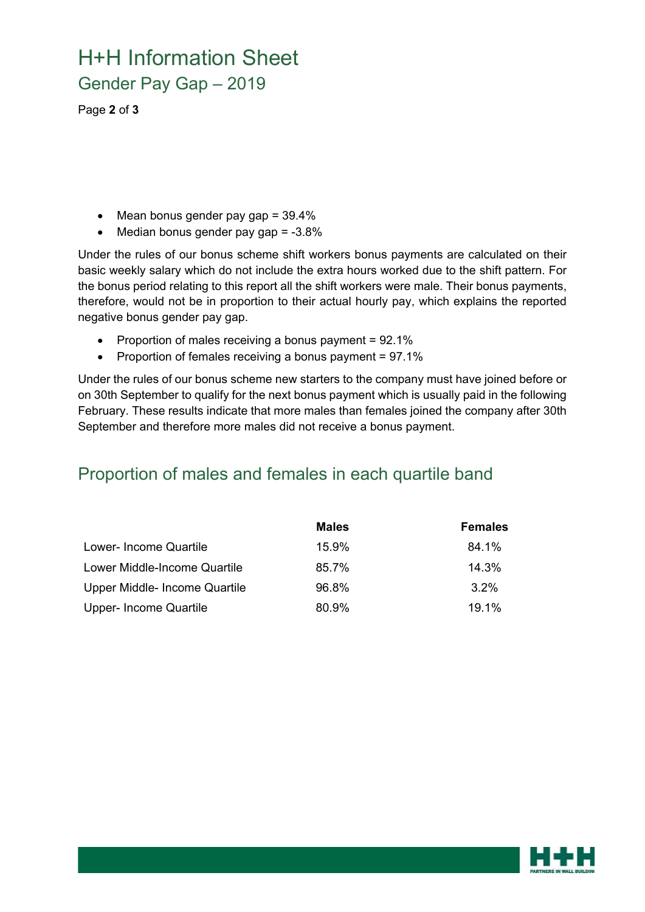# H+H Information Sheet Gender Pay Gap – 2019

Page **2** of **3**

- $\bullet$  Mean bonus gender pay gap = 39.4%
- $\bullet$  Median bonus gender pay gap = -3.8%

Under the rules of our bonus scheme shift workers bonus payments are calculated on their basic weekly salary which do not include the extra hours worked due to the shift pattern. For the bonus period relating to this report all the shift workers were male. Their bonus payments, therefore, would not be in proportion to their actual hourly pay, which explains the reported negative bonus gender pay gap.

- Proportion of males receiving a bonus payment =  $92.1\%$
- Proportion of females receiving a bonus payment = 97.1%

Under the rules of our bonus scheme new starters to the company must have joined before or on 30th September to qualify for the next bonus payment which is usually paid in the following February. These results indicate that more males than females joined the company after 30th September and therefore more males did not receive a bonus payment.

#### Proportion of males and females in each quartile band

|                               | <b>Males</b> | <b>Females</b> |
|-------------------------------|--------------|----------------|
| Lower- Income Quartile        | $15.9\%$     | 84.1%          |
| Lower Middle-Income Quartile  | 85.7%        | 14.3%          |
| Upper Middle- Income Quartile | 96.8%        | $3.2\%$        |
| Upper- Income Quartile        | 80.9%        | 19.1%          |